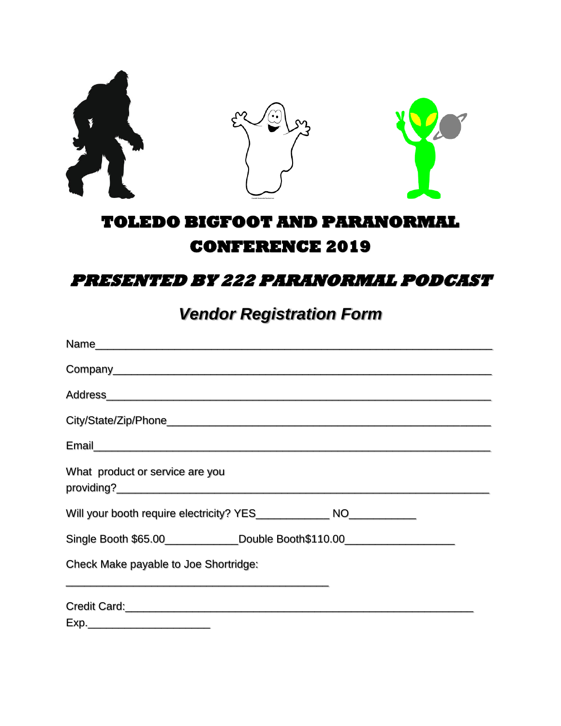

## **TOLEDO BIGFOOT AND PARANORMAL CONFERENCE 2019**

## **PRESENTED BY 222 PARANORMAL PODCAST**

## *Vendor Registration Form*

| What product or service are you                                                                                                                                                                                                      |  |
|--------------------------------------------------------------------------------------------------------------------------------------------------------------------------------------------------------------------------------------|--|
| Will your booth require electricity? YES_________________ NO_____________                                                                                                                                                            |  |
| Single Booth \$65.00______________Double Booth\$110.00____________________________                                                                                                                                                   |  |
| Check Make payable to Joe Shortridge:                                                                                                                                                                                                |  |
| Credit Card: <u>Card: Card: Card: Card: Card: Card: Card: Card: Card: Card: Card: Card: Card: Card: Card: Card: Card: Card: Card: Card: Card: Card: Card: Card: Card: Card: Card: Card: Card: Card: Card: Card: Card: Card: Card</u> |  |
|                                                                                                                                                                                                                                      |  |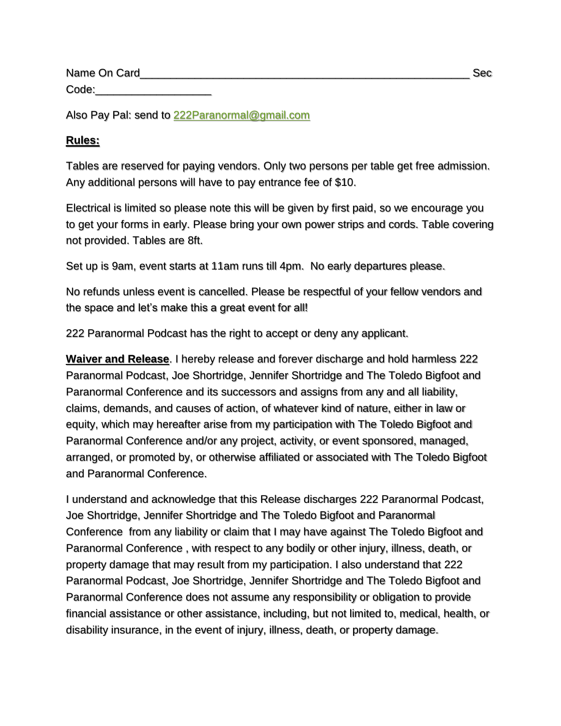| Name On Card | Sec |  |
|--------------|-----|--|
| Code:        |     |  |

Also Pay Pal: send to [222Paranormal@gmail.com](mailto:222Paranormal@gmail.com)

## **Rules:**

Tables are reserved for paying vendors. Only two persons per table get free admission. Any additional persons will have to pay entrance fee of \$10.

Electrical is limited so please note this will be given by first paid, so we encourage you to get your forms in early. Please bring your own power strips and cords. Table covering not provided. Tables are 8ft.

Set up is 9am, event starts at 11am runs till 4pm. No early departures please.

No refunds unless event is cancelled. Please be respectful of your fellow vendors and the space and let's make this a great event for all!

222 Paranormal Podcast has the right to accept or deny any applicant.

**Waiver and Release**. I hereby release and forever discharge and hold harmless 222 Paranormal Podcast, Joe Shortridge, Jennifer Shortridge and The Toledo Bigfoot and Paranormal Conference and its successors and assigns from any and all liability, claims, demands, and causes of action, of whatever kind of nature, either in law or equity, which may hereafter arise from my participation with The Toledo Bigfoot and Paranormal Conference and/or any project, activity, or event sponsored, managed, arranged, or promoted by, or otherwise affiliated or associated with The Toledo Bigfoot and Paranormal Conference.

I understand and acknowledge that this Release discharges 222 Paranormal Podcast, Joe Shortridge, Jennifer Shortridge and The Toledo Bigfoot and Paranormal Conference from any liability or claim that I may have against The Toledo Bigfoot and Paranormal Conference , with respect to any bodily or other injury, illness, death, or property damage that may result from my participation. I also understand that 222 Paranormal Podcast, Joe Shortridge, Jennifer Shortridge and The Toledo Bigfoot and Paranormal Conference does not assume any responsibility or obligation to provide financial assistance or other assistance, including, but not limited to, medical, health, or disability insurance, in the event of injury, illness, death, or property damage.